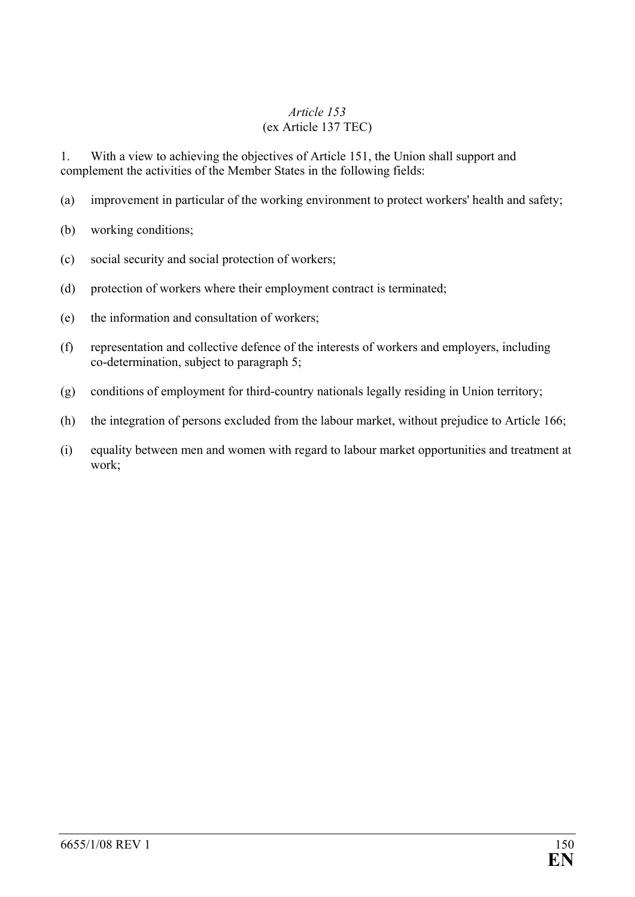## *Article 153*  (ex Article 137 TEC)

1. With a view to achieving the objectives of Article 151, the Union shall support and complement the activities of the Member States in the following fields:

- (a) improvement in particular of the working environment to protect workers' health and safety;
- (b) working conditions;
- (c) social security and social protection of workers;
- (d) protection of workers where their employment contract is terminated;
- (e) the information and consultation of workers;
- (f) representation and collective defence of the interests of workers and employers, including co-determination, subject to paragraph 5;
- (g) conditions of employment for third-country nationals legally residing in Union territory;
- (h) the integration of persons excluded from the labour market, without prejudice to Article 166;
- (i) equality between men and women with regard to labour market opportunities and treatment at work;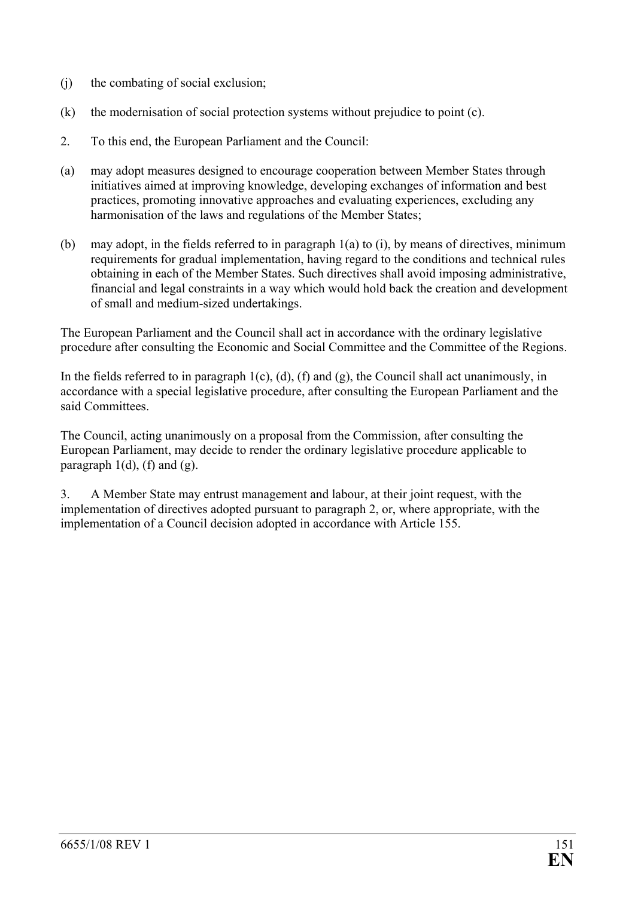- (j) the combating of social exclusion;
- (k) the modernisation of social protection systems without prejudice to point (c).
- 2. To this end, the European Parliament and the Council:
- (a) may adopt measures designed to encourage cooperation between Member States through initiatives aimed at improving knowledge, developing exchanges of information and best practices, promoting innovative approaches and evaluating experiences, excluding any harmonisation of the laws and regulations of the Member States;
- (b) may adopt, in the fields referred to in paragraph 1(a) to (i), by means of directives, minimum requirements for gradual implementation, having regard to the conditions and technical rules obtaining in each of the Member States. Such directives shall avoid imposing administrative, financial and legal constraints in a way which would hold back the creation and development of small and medium-sized undertakings.

The European Parliament and the Council shall act in accordance with the ordinary legislative procedure after consulting the Economic and Social Committee and the Committee of the Regions.

In the fields referred to in paragraph  $1(c)$ ,  $(d)$ ,  $(f)$  and  $(g)$ , the Council shall act unanimously, in accordance with a special legislative procedure, after consulting the European Parliament and the said Committees.

The Council, acting unanimously on a proposal from the Commission, after consulting the European Parliament, may decide to render the ordinary legislative procedure applicable to paragraph  $1(d)$ , (f) and (g).

3. A Member State may entrust management and labour, at their joint request, with the implementation of directives adopted pursuant to paragraph 2, or, where appropriate, with the implementation of a Council decision adopted in accordance with Article 155.